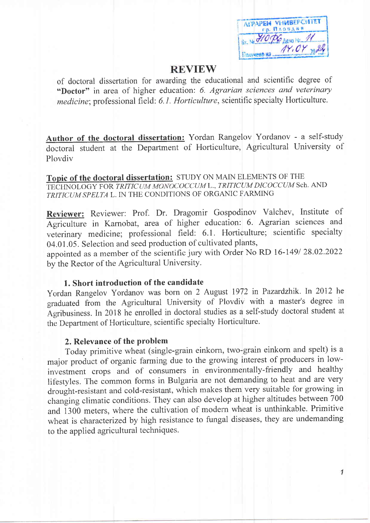AFPAPEM VHMBEFCMTET гр. Пловдив BY No HOPE ARNO NO 11  $Y, OY$ Получено на

 $\mathcal I$ 

### **REVIEW**

of doctoral dissertation for awarding the educational and scientific degree of "Doctor" in area of higher education: 6. Agrarian sciences and veterinary medicine; professional field: 6.1. Horticulture, scientific specialty Horticulture.

Author of the doctoral dissertation: Yordan Rangelov Yordanov - a self-study doctoral student at the Department of Horticulture, Agricultural University of Ploydiy

Topic of the doctoral dissertation: STUDY ON MAIN ELEMENTS OF THE TECHNOLOGY FOR TRITICUM MONOCOCCUM L., TRITICUM DICOCCUM Sch. AND TRITICUM SPELTA L. IN THE CONDITIONS OF ORGANIC FARMING

Reviewer: Reviewer: Prof. Dr. Dragomir Gospodinov Valchev, Institute of Agriculture in Karnobat, area of higher education: 6. Agrarian sciences and veterinary medicine; professional field: 6.1. Horticulture; scientific specialty 04.01.05. Selection and seed production of cultivated plants,

appointed as a member of the scientific jury with Order No RD 16-149/28.02.2022 by the Rector of the Agricultural University.

#### 1. Short introduction of the candidate

Yordan Rangelov Yordanov was born on 2 August 1972 in Pazardzhik. In 2012 he graduated from the Agricultural University of Plovdiv with a master's degree in Agribusiness. In 2018 he enrolled in doctoral studies as a self-study doctoral student at the Department of Horticulture, scientific specialty Horticulture.

#### 2. Relevance of the problem

Today primitive wheat (single-grain einkorn, two-grain einkorn and spelt) is a major product of organic farming due to the growing interest of producers in lowinvestment crops and of consumers in environmentally-friendly and healthy lifestyles. The common forms in Bulgaria are not demanding to heat and are very drought-resistant and cold-resistant, which makes them very suitable for growing in changing climatic conditions. They can also develop at higher altitudes between 700 and 1300 meters, where the cultivation of modern wheat is unthinkable. Primitive wheat is characterized by high resistance to fungal diseases, they are undemanding to the applied agricultural techniques.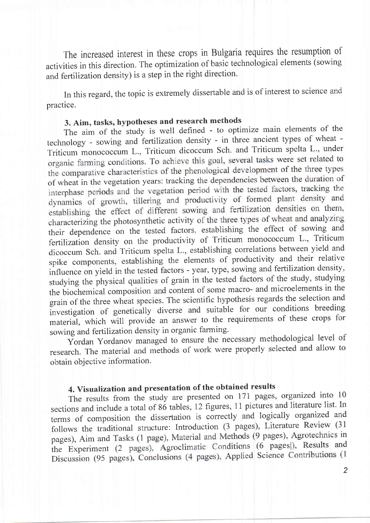The increased interest in these crops in Bulgaria requires the resumption of activities in this direction. The optimization of basic technological elements (sowing and fertilization density) is a step in the right direction.

In this regard, the topic is extremely dissertable and is of interest to science and practice.

# 3. Aim, tasks, hypotheses and research methods

The aim of the study is well defined - to optimize main elements of the technology - sowing and fertilization density - in three ancient types of wheat -Triticum monococcum L., Triticum dicoccum Sch. and Triticum spelta L., under organic farming conditions. To achieve this goal, several tasks were set related to the comparative characteristics of the phenological development of the three types of wheat in the vegetation years: tracking the dependencies between the duration of interphase periods and the vegetation period with the tested factors, tracking the dynamics of growth, tillering and productivity of formed plant density and establishing the effect of different sowing and fertilization densities on them, characterizing the photosynthetic activity of the three types of wheat and analyzing their dependence on the tested factors, establishing the effect of sowing and fertilization density on the productivity of Triticum monococcum L., Triticum dicoccum Sch. and Triticum spelta L., establishing correlations between yield and spike components, establishing the elements of productivity and their relative influence on yield in the tested factors - year, type, sowing and fertilization density, studying the physical qualities of grain in the tested factors of the study, studying the biochemical composition and content of some macro- and microelements in the grain of the three wheat species. The scientific hypothesis regards the selection and investigation of genetically diverse and suitable for our conditions breeding material, which will provide an answer to the requirements of these crops for sowing and fertilization density in organic farming.

Yordan Yordanov managed to ensure the necessary methodological level of research. The material and methods of work were properly selected and allow to obtain objective information.

# 4. Visualization and presentation of the obtained results

The results from the study are presented on 171 pages, organized into 10 sections and include a total of 86 tables, 12 figures, 11 pictures and literature list. In terms of composition the dissertation is correctly and logically organized and follows the traditional structure: Introduction (3 pages), Literature Review (31 pages), Aim and Tasks (1 page), Material and Methods (9 pages), Agrotechnics in the Experiment (2 pages), Agroclimatic Conditions (6 pages), Results and Discussion (95 pages), Conclusions (4 pages), Applied Science Contributions (1

 $\overline{2}$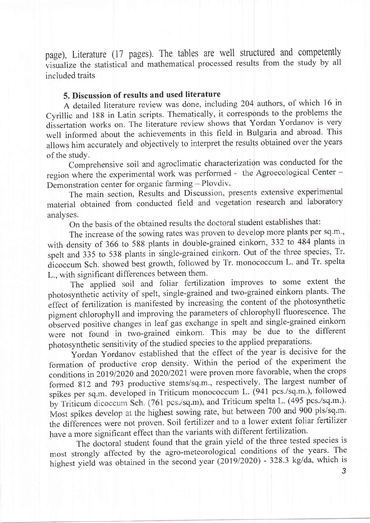page), Literature (17 pages). The tables are well structured and competently visualize the statistical and mathematical processed results from the study by all included traits

### 5. Discussion of results and used literature

A detailed literature review was done, including 204 authors, of which 16 in Cyrillic and 188 in Latin scripts. Thematically, it corresponds to the problems the dissertation works on. The literature review shows that Yordan Yordanov is very well informed about the achievements in this field in Bulgaria and abroad. This allows him accurately and objectively to interpret the results obtained over the years of the study.

Comprehensive soil and agroclimatic characterization was conducted for the region where the experimental work was performed - the Agroecological Center -Demonstration center for organic farming - Plovdiv.

The main section, Results and Discussion, presents extensive experimental material obtained from conducted field and vegetation research and laboratory analyses.

On the basis of the obtained results the doctoral student establishes that:

The increase of the sowing rates was proven to develop more plants per sq.m., with density of 366 to 588 plants in double-grained einkorn, 332 to 484 plants in spelt and 335 to 538 plants in single-grained einkorn. Out of the three species, Tr. dicoccum Sch. showed best growth, followed by Tr. monococcum L. and Tr. spelta L., with significant differences between them.

The applied soil and foliar fertilization improves to some extent the photosynthetic activity of spelt, single-grained and two-grained einkorn plants. The effect of fertilization is manifested by increasing the content of the photosynthetic pigment chlorophyll and improving the parameters of chlorophyll fluorescence. The observed positive changes in leaf gas exchange in spelt and single-grained einkorn were not found in two-grained einkorn. This may be due to the different photosynthetic sensitivity of the studied species to the applied preparations.

Yordan Yordanov established that the effect of the year is decisive for the formation of productive crop density. Within the period of the experiment the conditions in 2019/2020 and 2020/2021 were proven more favorable, when the crops formed 812 and 793 productive stems/sq.m., respectively. The largest number of spikes per sq.m. developed in Triticum monococcum L. (941 pcs./sq.m.), followed by Triticum dicoccum Sch. (761 pcs./sq.m), and Triticum spelta L. (495 pcs./sq.m.). Most spikes develop at the highest sowing rate, but between 700 and 900 pls/sq.m. the differences were not proven. Soil fertilizer and to a lower extent foliar fertilizer have a more significant effect than the variants with different fertilization.

The doctoral student found that the grain yield of the three tested species is most strongly affected by the agro-meteorological conditions of the years. The highest yield was obtained in the second year (2019/2020) - 328.3 kg/da, which is

3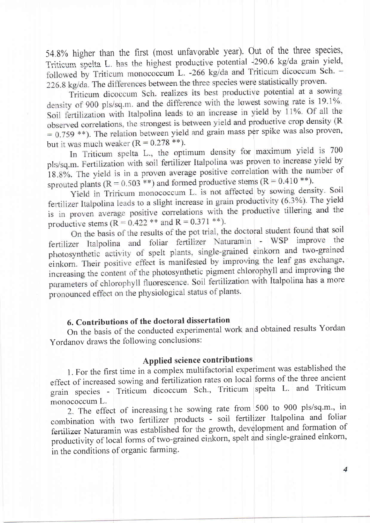54.8% higher than the first (most unfavorable year). Out of the three species, Triticum spelta L. has the highest productive potential -290.6 kg/da grain vield, followed by Triticum monococcum L. -266 kg/da and Triticum dicoccum Sch. -226.8 kg/da. The differences between the three species were statistically proven.

Triticum dicoccum Sch. realizes its best productive potential at a sowing density of 900 pls/sq.m. and the difference with the lowest sowing rate is 19.1%. Soil fertilization with Italpolina leads to an increase in yield by 11%. Of all the observed correlations, the strongest is between yield and productive crop density (R  $= 0.759$  \*\*). The relation between yield and grain mass per spike was also proven, but it was much weaker  $(R = 0.278**)$ .

In Triticum spelta L., the optimum density for maximum yield is 700 pls/sq.m. Fertilization with soil fertilizer Italpolina was proven to increase yield by 18.8%. The yield is in a proven average positive correlation with the number of sprouted plants (R =  $0.503$ <sup>\*\*</sup>) and formed productive stems (R =  $0.410$  <sup>\*\*</sup>).

Yield in Triricum monococcum L. is not affected by sowing density. Soil fertilizer Italpolina leads to a slight increase in grain productivity (6.3%). The yield is in proven average positive correlations with the productive tillering and the productive stems ( $R = 0.422$  \*\* and  $R = 0.371$  \*\*).

On the basis of the results of the pot trial, the doctoral student found that soil fertilizer Italpolina and foliar fertilizer Naturamin - WSP improve the photosynthetic activity of spelt plants, single-grained einkorn and two-grained einkorn. Their positive effect is manifested by improving the leaf gas exchange, increasing the content of the photosynthetic pigment chlorophyll and improving the parameters of chlorophyll fluorescence. Soil fertilization with Italpolina has a more pronounced effect on the physiological status of plants.

## 6. Contributions of the doctoral dissertation

On the basis of the conducted experimental work and obtained results Yordan Yordanov draws the following conclusions:

### Applied science contributions

1. For the first time in a complex multifactorial experiment was established the effect of increased sowing and fertilization rates on local forms of the three ancient grain species - Triticum dicoccum Sch., Triticum spelta L. and Triticum monococcum L.

2. The effect of increasing the sowing rate from 500 to 900 pls/sq.m., in combination with two fertilizer products - soil fertilizer Italpolina and foliar fertilizer Naturamin was established for the growth, development and formation of productivity of local forms of two-grained einkorn, spelt and single-grained einkorn, in the conditions of organic farming.

 $\overline{4}$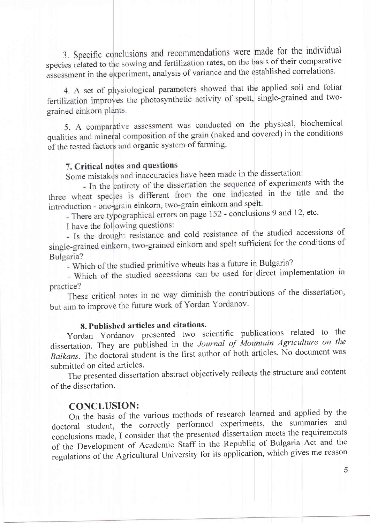3. Specific conclusions and recommendations were made for the individual species related to the sowing and fertilization rates, on the basis of their comparative assessment in the experiment, analysis of variance and the established correlations.

4. A set of physiological parameters showed that the applied soil and foliar fertilization improves the photosynthetic activity of spelt, single-grained and twograined einkorn plants.

5. A comparative assessment was conducted on the physical, biochemical qualities and mineral composition of the grain (naked and covered) in the conditions of the tested factors and organic system of farming.

## 7. Critical notes and questions

Some mistakes and inaccuracies have been made in the dissertation:

- In the entirety of the dissertation the sequence of experiments with the three wheat species is different from the one indicated in the title and the introduction - one-grain einkorn, two-grain einkorn and spelt.

- There are typographical errors on page 152 - conclusions 9 and 12, etc.

I have the following questions:

- Is the drought resistance and cold resistance of the studied accessions of single-grained einkorn, two-grained einkorn and spelt sufficient for the conditions of Bulgaria?

- Which of the studied primitive wheats has a future in Bulgaria?

- Which of the studied accessions can be used for direct implementation in practice?

These critical notes in no way diminish the contributions of the dissertation, but aim to improve the future work of Yordan Yordanov.

#### 8. Published articles and citations.

Yordan Yordanov presented two scientific publications related to the dissertation. They are published in the Journal of Mountain Agriculture on the Balkans. The doctoral student is the first author of both articles. No document was submitted on cited articles.

The presented dissertation abstract objectively reflects the structure and content of the dissertation.

#### **CONCLUSION:**

On the basis of the various methods of research learned and applied by the doctoral student, the correctly performed experiments, the summaries and conclusions made, I consider that the presented dissertation meets the requirements of the Development of Academic Staff in the Republic of Bulgaria Act and the regulations of the Agricultural University for its application, which gives me reason